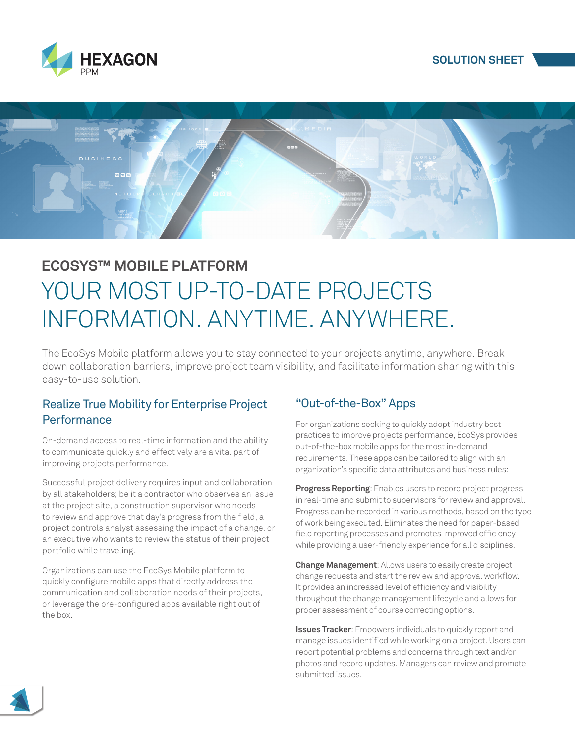





# **ECOSYS™ MOBILE PLATFORM** YOUR MOST UP-TO-DATE PROJECTS INFORMATION. ANYTIME. ANYWHERE.

The EcoSys Mobile platform allows you to stay connected to your projects anytime, anywhere. Break down collaboration barriers, improve project team visibility, and facilitate information sharing with this easy-to-use solution.

#### Realize True Mobility for Enterprise Project **Performance**

On-demand access to real-time information and the ability to communicate quickly and effectively are a vital part of improving projects performance.

Successful project delivery requires input and collaboration by all stakeholders; be it a contractor who observes an issue at the project site, a construction supervisor who needs to review and approve that day's progress from the field, a project controls analyst assessing the impact of a change, or an executive who wants to review the status of their project portfolio while traveling.

Organizations can use the EcoSys Mobile platform to quickly configure mobile apps that directly address the communication and collaboration needs of their projects, or leverage the pre-configured apps available right out of the box.

# "Out-of-the-Box" Apps

For organizations seeking to quickly adopt industry best practices to improve projects performance, EcoSys provides out-of-the-box mobile apps for the most in-demand requirements. These apps can be tailored to align with an organization's specific data attributes and business rules:

**Progress Reporting**: Enables users to record project progress in real-time and submit to supervisors for review and approval. Progress can be recorded in various methods, based on the type of work being executed. Eliminates the need for paper-based field reporting processes and promotes improved efficiency while providing a user-friendly experience for all disciplines.

**Change Management**: Allows users to easily create project change requests and start the review and approval workflow. It provides an increased level of efficiency and visibility throughout the change management lifecycle and allows for proper assessment of course correcting options.

**Issues Tracker**: Empowers individuals to quickly report and manage issues identified while working on a project. Users can report potential problems and concerns through text and/or photos and record updates. Managers can review and promote submitted issues.